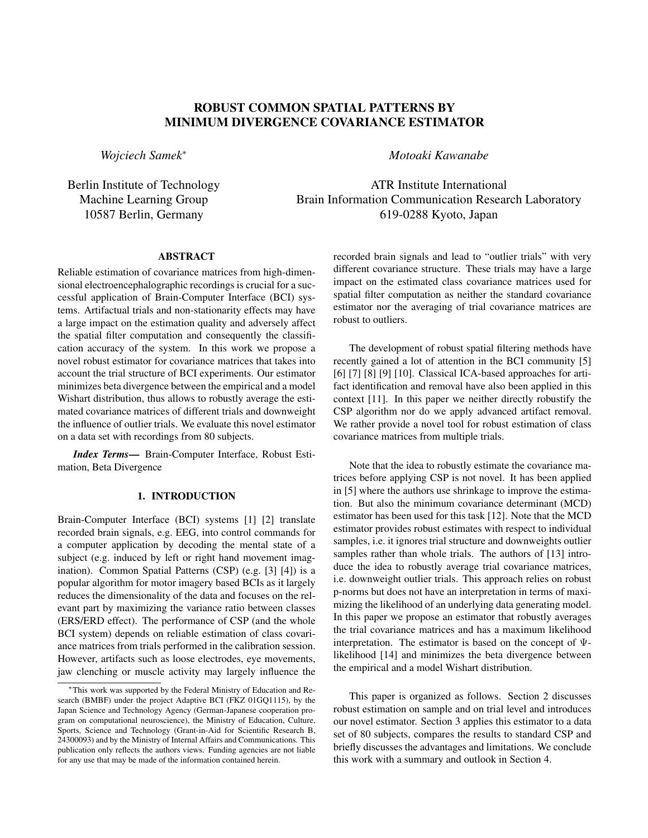# ROBUST COMMON SPATIAL PATTERNS BY MINIMUM DIVERGENCE COVARIANCE ESTIMATOR

*Wojciech Samek*<sup>∗</sup>

Berlin Institute of Technology Machine Learning Group 10587 Berlin, Germany

*Motoaki Kawanabe*

ATR Institute International Brain Information Communication Research Laboratory 619-0288 Kyoto, Japan

# ABSTRACT

Reliable estimation of covariance matrices from high-dimensional electroencephalographic recordings is crucial for a successful application of Brain-Computer Interface (BCI) systems. Artifactual trials and non-stationarity effects may have a large impact on the estimation quality and adversely affect the spatial filter computation and consequently the classification accuracy of the system. In this work we propose a novel robust estimator for covariance matrices that takes into account the trial structure of BCI experiments. Our estimator minimizes beta divergence between the empirical and a model Wishart distribution, thus allows to robustly average the estimated covariance matrices of different trials and downweight the influence of outlier trials. We evaluate this novel estimator on a data set with recordings from 80 subjects.

*Index Terms*— Brain-Computer Interface, Robust Estimation, Beta Divergence

# 1. INTRODUCTION

Brain-Computer Interface (BCI) systems [1] [2] translate recorded brain signals, e.g. EEG, into control commands for a computer application by decoding the mental state of a subject (e.g. induced by left or right hand movement imagination). Common Spatial Patterns (CSP) (e.g. [3] [4]) is a popular algorithm for motor imagery based BCIs as it largely reduces the dimensionality of the data and focuses on the relevant part by maximizing the variance ratio between classes (ERS/ERD effect). The performance of CSP (and the whole BCI system) depends on reliable estimation of class covariance matrices from trials performed in the calibration session. However, artifacts such as loose electrodes, eye movements, jaw clenching or muscle activity may largely influence the recorded brain signals and lead to "outlier trials" with very different covariance structure. These trials may have a large impact on the estimated class covariance matrices used for spatial filter computation as neither the standard covariance estimator nor the averaging of trial covariance matrices are robust to outliers.

The development of robust spatial filtering methods have recently gained a lot of attention in the BCI community [5] [6]  $[7]$   $[8]$   $[9]$   $[10]$ . Classical ICA-based approaches for artifact identification and removal have also been applied in this context [11]. In this paper we neither directly robustify the CSP algorithm nor do we apply advanced artifact removal. We rather provide a novel tool for robust estimation of class covariance matrices from multiple trials.

Note that the idea to robustly estimate the covariance matrices before applying CSP is not novel. It has been applied in [5] where the authors use shrinkage to improve the estimation. But also the minimum covariance determinant (MCD) estimator has been used for this task [12]. Note that the MCD estimator provides robust estimates with respect to individual samples, i.e. it ignores trial structure and downweights outlier samples rather than whole trials. The authors of [13] introduce the idea to robustly average trial covariance matrices, i.e. downweight outlier trials. This approach relies on robust p-norms but does not have an interpretation in terms of maximizing the likelihood of an underlying data generating model. In this paper we propose an estimator that robustly averages the trial covariance matrices and has a maximum likelihood interpretation. The estimator is based on the concept of  $\Psi$ likelihood [14] and minimizes the beta divergence between the empirical and a model Wishart distribution.

This paper is organized as follows. Section 2 discusses robust estimation on sample and on trial level and introduces our novel estimator. Section 3 applies this estimator to a data set of 80 subjects, compares the results to standard CSP and briefly discusses the advantages and limitations. We conclude this work with a summary and outlook in Section 4.

<sup>∗</sup>This work was supported by the Federal Ministry of Education and Research (BMBF) under the project Adaptive BCI (FKZ 01GQ1115), by the Japan Science and Technology Agency (German-Japanese cooperation program on computational neuroscience), the Ministry of Education, Culture, Sports, Science and Technology (Grant-in-Aid for Scientific Research B, 24300093) and by the Ministry of Internal Affairs and Communications. This publication only reflects the authors views. Funding agencies are not liable for any use that may be made of the information contained herein.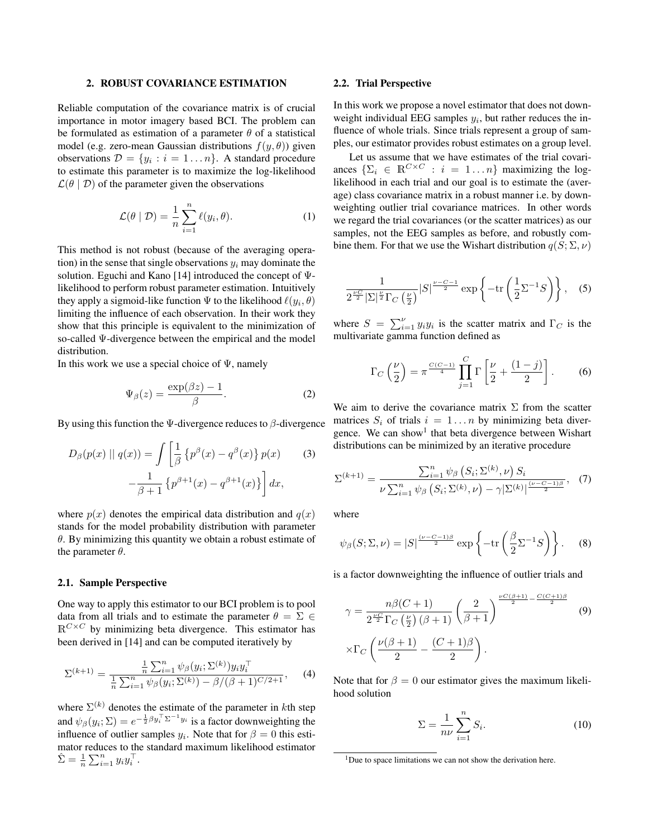# 2. ROBUST COVARIANCE ESTIMATION

Reliable computation of the covariance matrix is of crucial importance in motor imagery based BCI. The problem can be formulated as estimation of a parameter  $\theta$  of a statistical model (e.g. zero-mean Gaussian distributions  $f(y, \theta)$ ) given observations  $\mathcal{D} = \{y_i : i = 1 \dots n\}$ . A standard procedure to estimate this parameter is to maximize the log-likelihood  $\mathcal{L}(\theta | \mathcal{D})$  of the parameter given the observations

$$
\mathcal{L}(\theta \mid \mathcal{D}) = \frac{1}{n} \sum_{i=1}^{n} \ell(y_i, \theta). \tag{1}
$$

This method is not robust (because of the averaging operation) in the sense that single observations  $y_i$  may dominate the solution. Eguchi and Kano [14] introduced the concept of  $\Psi$ likelihood to perform robust parameter estimation. Intuitively they apply a sigmoid-like function  $\Psi$  to the likelihood  $\ell(y_i, \theta)$ limiting the influence of each observation. In their work they show that this principle is equivalent to the minimization of so-called Ψ-divergence between the empirical and the model distribution.

In this work we use a special choice of  $\Psi$ , namely

$$
\Psi_{\beta}(z) = \frac{\exp(\beta z) - 1}{\beta}.
$$
\n(2)

By using this function the Ψ-divergence reduces to  $\beta$ -divergence

$$
D_{\beta}(p(x) \parallel q(x)) = \int \left[ \frac{1}{\beta} \left\{ p^{\beta}(x) - q^{\beta}(x) \right\} p(x) \right] (3)
$$

$$
-\frac{1}{\beta+1} \left\{ p^{\beta+1}(x) - q^{\beta+1}(x) \right\} \right] dx,
$$

where  $p(x)$  denotes the empirical data distribution and  $q(x)$ stands for the model probability distribution with parameter  $\theta$ . By minimizing this quantity we obtain a robust estimate of the parameter  $\theta$ .

#### 2.1. Sample Perspective

One way to apply this estimator to our BCI problem is to pool data from all trials and to estimate the parameter  $\theta = \Sigma \in$  $\mathbb{R}^{C\times C}$  by minimizing beta divergence. This estimator has been derived in [14] and can be computed iteratively by

$$
\Sigma^{(k+1)} = \frac{\frac{1}{n}\sum_{i=1}^{n}\psi_{\beta}(y_i;\Sigma^{(k)})y_iy_i^{\top}}{\frac{1}{n}\sum_{i=1}^{n}\psi_{\beta}(y_i;\Sigma^{(k)}) - \beta/(\beta+1)^{C/2+1}},\tag{4}
$$

where  $\Sigma^{(k)}$  denotes the estimate of the parameter in kth step and  $\psi_{\beta}(y_i; \Sigma) = e^{-\frac{1}{2}\beta y_i^{\top} \Sigma^{-1} y_i}$  is a factor downweighting the influence of outlier samples  $y_i$ . Note that for  $\beta = 0$  this estimator reduces to the standard maximum likelihood estimator  $\hat{\Sigma} = \frac{1}{n} \sum_{i=1}^n y_i y_i^{\top}.$ 

#### 2.2. Trial Perspective

In this work we propose a novel estimator that does not downweight individual EEG samples  $y_i$ , but rather reduces the influence of whole trials. Since trials represent a group of samples, our estimator provides robust estimates on a group level.

Let us assume that we have estimates of the trial covariances  $\{\Sigma_i \in \mathbb{R}^{C \times C} : i = 1 ... n\}$  maximizing the loglikelihood in each trial and our goal is to estimate the (average) class covariance matrix in a robust manner i.e. by downweighting outlier trial covariance matrices. In other words we regard the trial covariances (or the scatter matrices) as our samples, not the EEG samples as before, and robustly combine them. For that we use the Wishart distribution  $q(S; \Sigma, \nu)$ 

$$
\frac{1}{2^{\frac{\nu C}{2}} |\Sigma|^{\frac{\nu}{2}} \Gamma_C \left(\frac{\nu}{2}\right)} |S|^{\frac{\nu - C - 1}{2}} \exp\left\{-\text{tr}\left(\frac{1}{2} \Sigma^{-1} S\right)\right\}, \quad (5)
$$

where  $S = \sum_{i=1}^{V} y_i y_i$  is the scatter matrix and  $\Gamma_C$  is the multivariate gamma function defined as

$$
\Gamma_C\left(\frac{\nu}{2}\right) = \pi^{\frac{C(C-1)}{4}} \prod_{j=1}^C \Gamma\left[\frac{\nu}{2} + \frac{(1-j)}{2}\right].
$$
 (6)

We aim to derive the covariance matrix  $\Sigma$  from the scatter matrices  $S_i$  of trials  $i = 1...n$  by minimizing beta divergence. We can show<sup>1</sup> that beta divergence between Wishart distributions can be minimized by an iterative procedure

$$
\Sigma^{(k+1)} = \frac{\sum_{i=1}^{n} \psi_{\beta} \left( S_i; \Sigma^{(k)}, \nu \right) S_i}{\nu \sum_{i=1}^{n} \psi_{\beta} \left( S_i; \Sigma^{(k)}, \nu \right) - \gamma |\Sigma^{(k)}|^{\frac{(\nu - C - 1)\beta}{2}}}, \quad (7)
$$

where

$$
\psi_{\beta}(S; \Sigma, \nu) = |S|^{\frac{(\nu - C - 1)\beta}{2}} \exp\left\{-\text{tr}\left(\frac{\beta}{2} \Sigma^{-1} S\right)\right\}.
$$
 (8)

is a factor downweighting the influence of outlier trials and

$$
\gamma = \frac{n\beta(C+1)}{2^{\frac{\nu C}{2}}\Gamma_C\left(\frac{\nu}{2}\right)(\beta+1)} \left(\frac{2}{\beta+1}\right)^{\frac{\nu C(\beta+1)}{2} - \frac{C(C+1)\beta}{2}} \quad (9)
$$

$$
\times \Gamma_C \left(\frac{\nu(\beta+1)}{2} - \frac{(C+1)\beta}{2}\right).
$$

Note that for  $\beta = 0$  our estimator gives the maximum likelihood solution

$$
\Sigma = \frac{1}{n\nu} \sum_{i=1}^{n} S_i.
$$
 (10)

<sup>&</sup>lt;sup>1</sup>Due to space limitations we can not show the derivation here.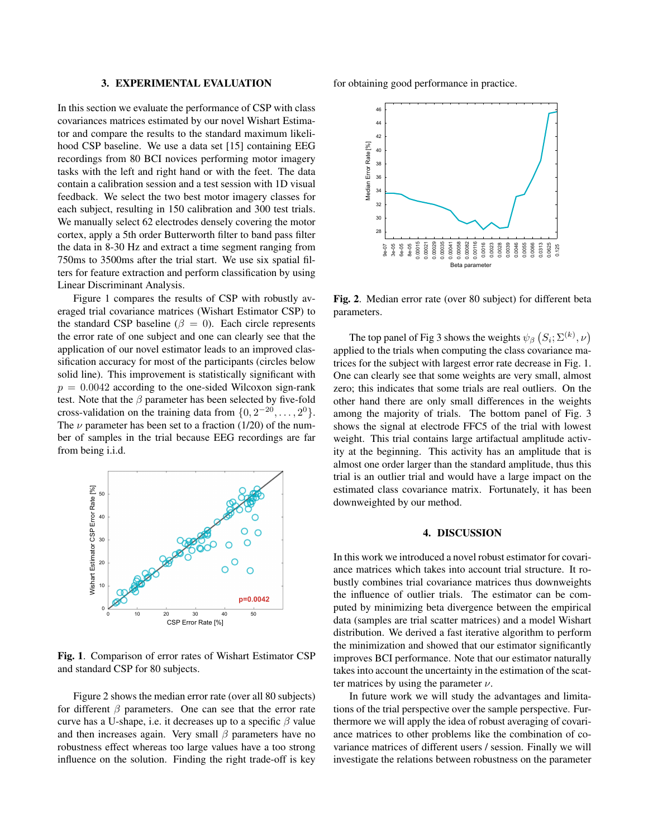# 3. EXPERIMENTAL EVALUATION

In this section we evaluate the performance of CSP with class covariances matrices estimated by our novel Wishart Estimator and compare the results to the standard maximum likelihood CSP baseline. We use a data set [15] containing EEG recordings from 80 BCI novices performing motor imagery tasks with the left and right hand or with the feet. The data contain a calibration session and a test session with 1D visual feedback. We select the two best motor imagery classes for each subject, resulting in 150 calibration and 300 test trials. We manually select 62 electrodes densely covering the motor cortex, apply a 5th order Butterworth filter to band pass filter the data in 8-30 Hz and extract a time segment ranging from 750ms to 3500ms after the trial start. We use six spatial filters for feature extraction and perform classification by using Linear Discriminant Analysis.

Figure 1 compares the results of CSP with robustly averaged trial covariance matrices (Wishart Estimator CSP) to the standard CSP baseline ( $\beta = 0$ ). Each circle represents the error rate of one subject and one can clearly see that the application of our novel estimator leads to an improved classification accuracy for most of the participants (circles below solid line). This improvement is statistically significant with  $p = 0.0042$  according to the one-sided Wilcoxon sign-rank test. Note that the  $\beta$  parameter has been selected by five-fold cross-validation on the training data from  $\{0, 2^{-20}, \ldots, 2^0\}$ . The  $\nu$  parameter has been set to a fraction (1/20) of the number of samples in the trial because EEG recordings are far from being i.i.d.



Fig. 1. Comparison of error rates of Wishart Estimator CSP and standard CSP for 80 subjects.

Figure 2 shows the median error rate (over all 80 subjects) for different  $\beta$  parameters. One can see that the error rate curve has a U-shape, i.e. it decreases up to a specific  $\beta$  value and then increases again. Very small  $\beta$  parameters have no robustness effect whereas too large values have a too strong influence on the solution. Finding the right trade-off is key

for obtaining good performance in practice.



Fig. 2. Median error rate (over 80 subject) for different beta parameters.

The top panel of Fig 3 shows the weights  $\psi_{\beta}$   $(S_i; \Sigma^{(k)}, \nu)$ applied to the trials when computing the class covariance matrices for the subject with largest error rate decrease in Fig. 1. One can clearly see that some weights are very small, almost zero; this indicates that some trials are real outliers. On the other hand there are only small differences in the weights among the majority of trials. The bottom panel of Fig. 3 shows the signal at electrode FFC5 of the trial with lowest weight. This trial contains large artifactual amplitude activity at the beginning. This activity has an amplitude that is almost one order larger than the standard amplitude, thus this trial is an outlier trial and would have a large impact on the estimated class covariance matrix. Fortunately, it has been downweighted by our method.

## 4. DISCUSSION

In this work we introduced a novel robust estimator for covariance matrices which takes into account trial structure. It robustly combines trial covariance matrices thus downweights the influence of outlier trials. The estimator can be computed by minimizing beta divergence between the empirical data (samples are trial scatter matrices) and a model Wishart distribution. We derived a fast iterative algorithm to perform the minimization and showed that our estimator significantly improves BCI performance. Note that our estimator naturally takes into account the uncertainty in the estimation of the scatter matrices by using the parameter  $\nu$ .

In future work we will study the advantages and limitations of the trial perspective over the sample perspective. Furthermore we will apply the idea of robust averaging of covariance matrices to other problems like the combination of covariance matrices of different users / session. Finally we will investigate the relations between robustness on the parameter